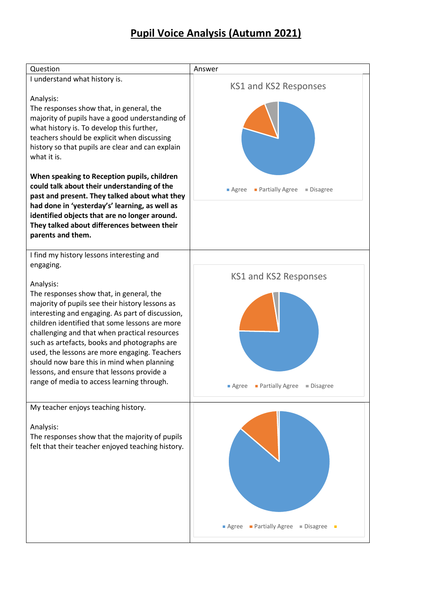